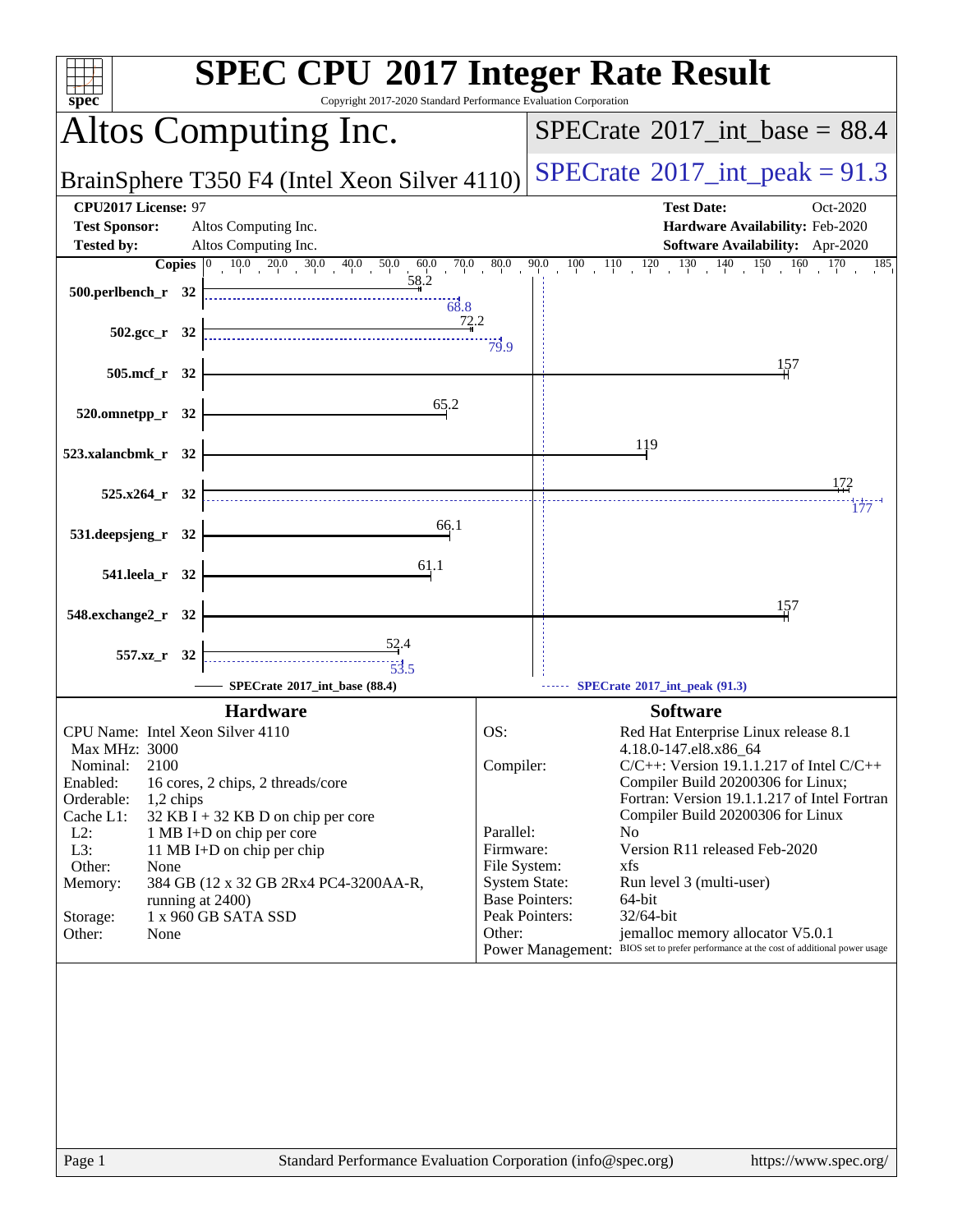| Copyright 2017-2020 Standard Performance Evaluation Corporation<br>$spec^*$                                                                                                                                                                          | <b>SPEC CPU®2017 Integer Rate Result</b>                                                                                                                                                                                                                                                                                        |
|------------------------------------------------------------------------------------------------------------------------------------------------------------------------------------------------------------------------------------------------------|---------------------------------------------------------------------------------------------------------------------------------------------------------------------------------------------------------------------------------------------------------------------------------------------------------------------------------|
| Altos Computing Inc.                                                                                                                                                                                                                                 | $SPECTate$ <sup>®</sup> 2017_int_base = 88.4                                                                                                                                                                                                                                                                                    |
| BrainSphere T350 F4 (Intel Xeon Silver 4110)                                                                                                                                                                                                         | $SPECTate^{\circ}2017\_int\_peak = 91.3$                                                                                                                                                                                                                                                                                        |
| CPU2017 License: 97<br><b>Test Sponsor:</b><br>Altos Computing Inc.                                                                                                                                                                                  | <b>Test Date:</b><br>Oct-2020<br>Hardware Availability: Feb-2020                                                                                                                                                                                                                                                                |
| Altos Computing Inc.<br><b>Tested by:</b>                                                                                                                                                                                                            | Software Availability: Apr-2020<br><b>Copies</b> $\begin{bmatrix} 0 & 10 & 0 & 20 & 30 & 40 & 50 & 60 & 70 & 80 & 90 & 10 & 10 & 120 & 130 & 140 & 150 & 160 & 170 & 185 \end{bmatrix}$                                                                                                                                         |
| $-58.2$<br>$500.$ perlbench_r 32<br>$-68.8$                                                                                                                                                                                                          |                                                                                                                                                                                                                                                                                                                                 |
| $\begin{array}{c}\n 72.2 \\  \hline\n 79.9\n \end{array}$<br>502.gcc_r 32                                                                                                                                                                            |                                                                                                                                                                                                                                                                                                                                 |
| 505.mcf_r 32                                                                                                                                                                                                                                         | 157                                                                                                                                                                                                                                                                                                                             |
| 65.2<br>520.omnetpp_r 32                                                                                                                                                                                                                             |                                                                                                                                                                                                                                                                                                                                 |
| 523.xalancbmk_r 32                                                                                                                                                                                                                                   | 119                                                                                                                                                                                                                                                                                                                             |
|                                                                                                                                                                                                                                                      | 172                                                                                                                                                                                                                                                                                                                             |
| $525.x264$ r 32                                                                                                                                                                                                                                      | 177                                                                                                                                                                                                                                                                                                                             |
| 66.1<br>531.deepsjeng_r 32                                                                                                                                                                                                                           |                                                                                                                                                                                                                                                                                                                                 |
| 61.1<br>541.leela_r 32                                                                                                                                                                                                                               |                                                                                                                                                                                                                                                                                                                                 |
| 548.exchange2_r 32                                                                                                                                                                                                                                   | 157                                                                                                                                                                                                                                                                                                                             |
| $\frac{52.4}{4}$<br>557.xz_r 32<br>$-53.5$                                                                                                                                                                                                           |                                                                                                                                                                                                                                                                                                                                 |
| SPECrate®2017_int_base (88.4)<br><b>Hardware</b>                                                                                                                                                                                                     | SPECrate*2017_int_peak (91.3)<br><b>Software</b>                                                                                                                                                                                                                                                                                |
| CPU Name: Intel Xeon Silver 4110<br><b>Max MHz: 3000</b><br>2100<br>Nominal:<br>Enabled:<br>16 cores, 2 chips, 2 threads/core<br>Orderable:<br>1,2 chips<br>Cache L1:<br>$32$ KB I + 32 KB D on chip per core<br>$L2$ :<br>1 MB I+D on chip per core | OS:<br>Red Hat Enterprise Linux release 8.1<br>4.18.0-147.el8.x86_64<br>$C/C++$ : Version 19.1.1.217 of Intel $C/C++$<br>Compiler:<br>Compiler Build 20200306 for Linux;<br>Fortran: Version 19.1.1.217 of Intel Fortran<br>Compiler Build 20200306 for Linux<br>Parallel:<br>N <sub>0</sub>                                    |
| L3:<br>11 MB I+D on chip per chip<br>Other:<br>None<br>384 GB (12 x 32 GB 2Rx4 PC4-3200AA-R,<br>Memory:<br>running at 2400)<br>1 x 960 GB SATA SSD<br>Storage:<br>Other:<br>None                                                                     | Version R11 released Feb-2020<br>Firmware:<br>File System:<br>xfs<br><b>System State:</b><br>Run level 3 (multi-user)<br><b>Base Pointers:</b><br>64-bit<br>Peak Pointers:<br>32/64-bit<br>Other:<br>jemalloc memory allocator V5.0.1<br>Power Management: BIOS set to prefer performance at the cost of additional power usage |
|                                                                                                                                                                                                                                                      |                                                                                                                                                                                                                                                                                                                                 |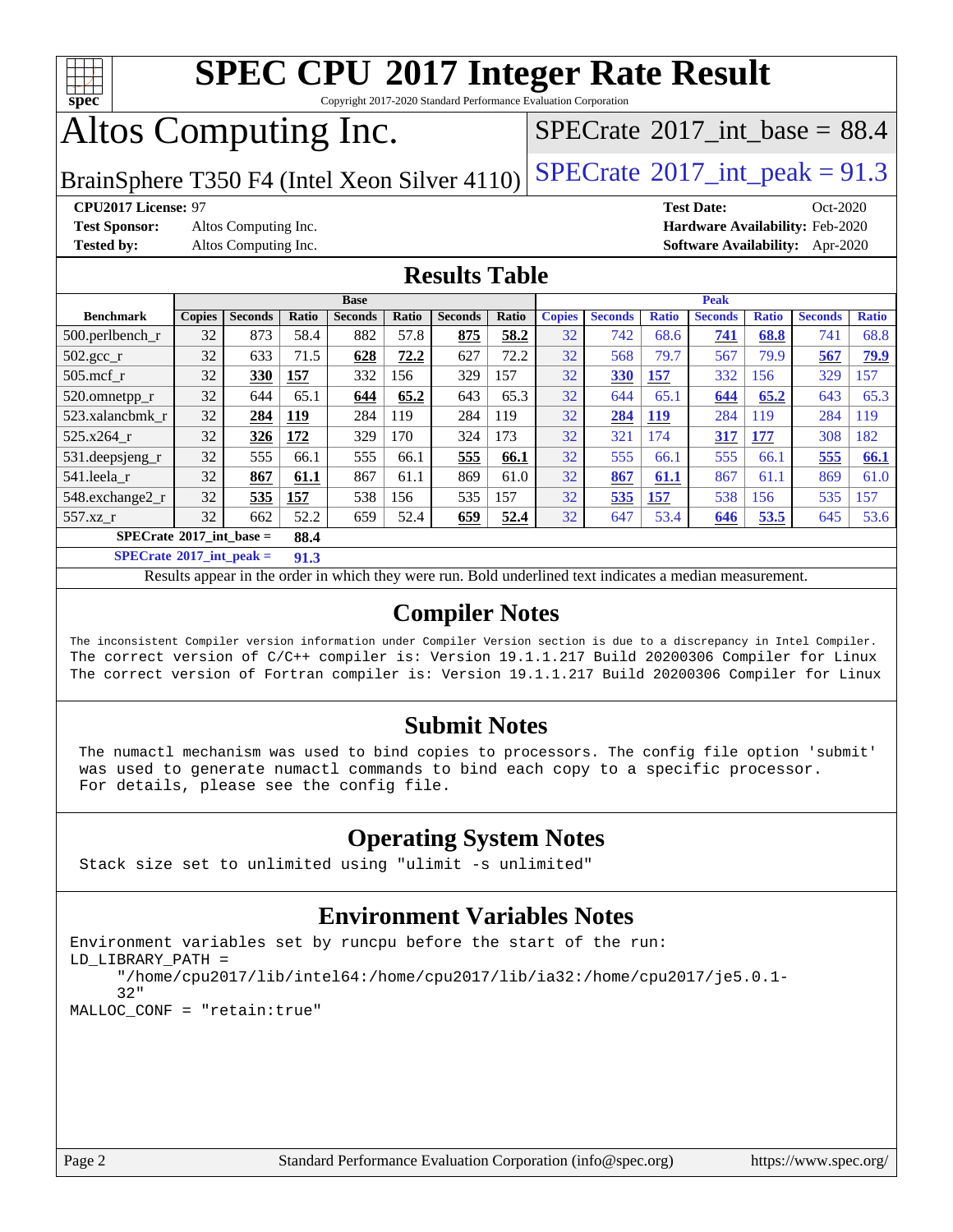

Copyright 2017-2020 Standard Performance Evaluation Corporation

# Altos Computing Inc.

 $SPECrate$ <sup>®</sup> $2017$ \_int\_base = 88.4

BrainSphere T350 F4 (Intel Xeon Silver  $4110$ ) [SPECrate](http://www.spec.org/auto/cpu2017/Docs/result-fields.html#SPECrate2017intpeak)<sup>®</sup>[2017\\_int\\_peak =](http://www.spec.org/auto/cpu2017/Docs/result-fields.html#SPECrate2017intpeak) 91.3

**[Test Sponsor:](http://www.spec.org/auto/cpu2017/Docs/result-fields.html#TestSponsor)** Altos Computing Inc. **[Hardware Availability:](http://www.spec.org/auto/cpu2017/Docs/result-fields.html#HardwareAvailability)** Feb-2020

**[CPU2017 License:](http://www.spec.org/auto/cpu2017/Docs/result-fields.html#CPU2017License)** 97 **[Test Date:](http://www.spec.org/auto/cpu2017/Docs/result-fields.html#TestDate)** Oct-2020 **[Tested by:](http://www.spec.org/auto/cpu2017/Docs/result-fields.html#Testedby)** Altos Computing Inc. **[Software Availability:](http://www.spec.org/auto/cpu2017/Docs/result-fields.html#SoftwareAvailability)** Apr-2020

## **[Results Table](http://www.spec.org/auto/cpu2017/Docs/result-fields.html#ResultsTable)**

|                                             | <b>Base</b>   |                |       |                |       | <b>Peak</b>    |              |               |                |              |                |              |                |              |
|---------------------------------------------|---------------|----------------|-------|----------------|-------|----------------|--------------|---------------|----------------|--------------|----------------|--------------|----------------|--------------|
| <b>Benchmark</b>                            | <b>Copies</b> | <b>Seconds</b> | Ratio | <b>Seconds</b> | Ratio | <b>Seconds</b> | <b>Ratio</b> | <b>Copies</b> | <b>Seconds</b> | <b>Ratio</b> | <b>Seconds</b> | <b>Ratio</b> | <b>Seconds</b> | <b>Ratio</b> |
| $500.$ perlbench_r                          | 32            | 873            | 58.4  | 882            | 57.8  | 875            | 58.2         | 32            | 742            | 68.6         | <b>741</b>     | 68.8         | 741            | 68.8         |
| 502.gcc_r                                   | 32            | 633            | 71.5  | 628            | 72.2  | 627            | 72.2         | 32            | 568            | 79.7         | 567            | 79.9         | 567            | 79.9         |
| $505$ .mcf r                                | 32            | 330            | 157   | 332            | 156   | 329            | 157          | 32            | <b>330</b>     | 157          | 332            | 156          | 329            | 157          |
| 520.omnetpp_r                               | 32            | 644            | 65.1  | 644            | 65.2  | 643            | 65.3         | 32            | 644            | 65.1         | 644            | 65.2         | 643            | 65.3         |
| 523.xalancbmk r                             | 32            | 284            | 119   | 284            | 119   | 284            | 119          | 32            | 284            | <b>119</b>   | 284            | 119          | 284            | 119          |
| 525.x264 r                                  | 32            | 326            | 172   | 329            | 170   | 324            | 173          | 32            | 321            | 174          | 317            | 177          | 308            | 182          |
| 531.deepsjeng_r                             | 32            | 555            | 66.1  | 555            | 66.1  | 555            | 66.1         | 32            | 555            | 66.1         | 555            | 66.1         | 555            | 66.1         |
| 541.leela r                                 | 32            | 867            | 61.1  | 867            | 61.1  | 869            | 61.0         | 32            | 867            | 61.1         | 867            | 61.1         | 869            | 61.0         |
| 548.exchange2_r                             | 32            | 535            | 157   | 538            | 156   | 535            | 157          | 32            | 535            | 157          | 538            | 156          | 535            | 157          |
| 557.xz r                                    | 32            | 662            | 52.2  | 659            | 52.4  | 659            | 52.4         | 32            | 647            | 53.4         | 646            | 53.5         | 645            | 53.6         |
| $SPECrate^{\otimes}2017$ int base =<br>88.4 |               |                |       |                |       |                |              |               |                |              |                |              |                |              |

**[SPECrate](http://www.spec.org/auto/cpu2017/Docs/result-fields.html#SPECrate2017intpeak)[2017\\_int\\_peak =](http://www.spec.org/auto/cpu2017/Docs/result-fields.html#SPECrate2017intpeak) 91.3**

Results appear in the [order in which they were run.](http://www.spec.org/auto/cpu2017/Docs/result-fields.html#RunOrder) Bold underlined text [indicates a median measurement.](http://www.spec.org/auto/cpu2017/Docs/result-fields.html#Median)

## **[Compiler Notes](http://www.spec.org/auto/cpu2017/Docs/result-fields.html#CompilerNotes)**

The inconsistent Compiler version information under Compiler Version section is due to a discrepancy in Intel Compiler. The correct version of C/C++ compiler is: Version 19.1.1.217 Build 20200306 Compiler for Linux The correct version of Fortran compiler is: Version 19.1.1.217 Build 20200306 Compiler for Linux

## **[Submit Notes](http://www.spec.org/auto/cpu2017/Docs/result-fields.html#SubmitNotes)**

 The numactl mechanism was used to bind copies to processors. The config file option 'submit' was used to generate numactl commands to bind each copy to a specific processor. For details, please see the config file.

## **[Operating System Notes](http://www.spec.org/auto/cpu2017/Docs/result-fields.html#OperatingSystemNotes)**

Stack size set to unlimited using "ulimit -s unlimited"

## **[Environment Variables Notes](http://www.spec.org/auto/cpu2017/Docs/result-fields.html#EnvironmentVariablesNotes)**

```
Environment variables set by runcpu before the start of the run:
LD_LIBRARY_PATH =
      "/home/cpu2017/lib/intel64:/home/cpu2017/lib/ia32:/home/cpu2017/je5.0.1-
      32"
MALLOC_CONF = "retain:true"
```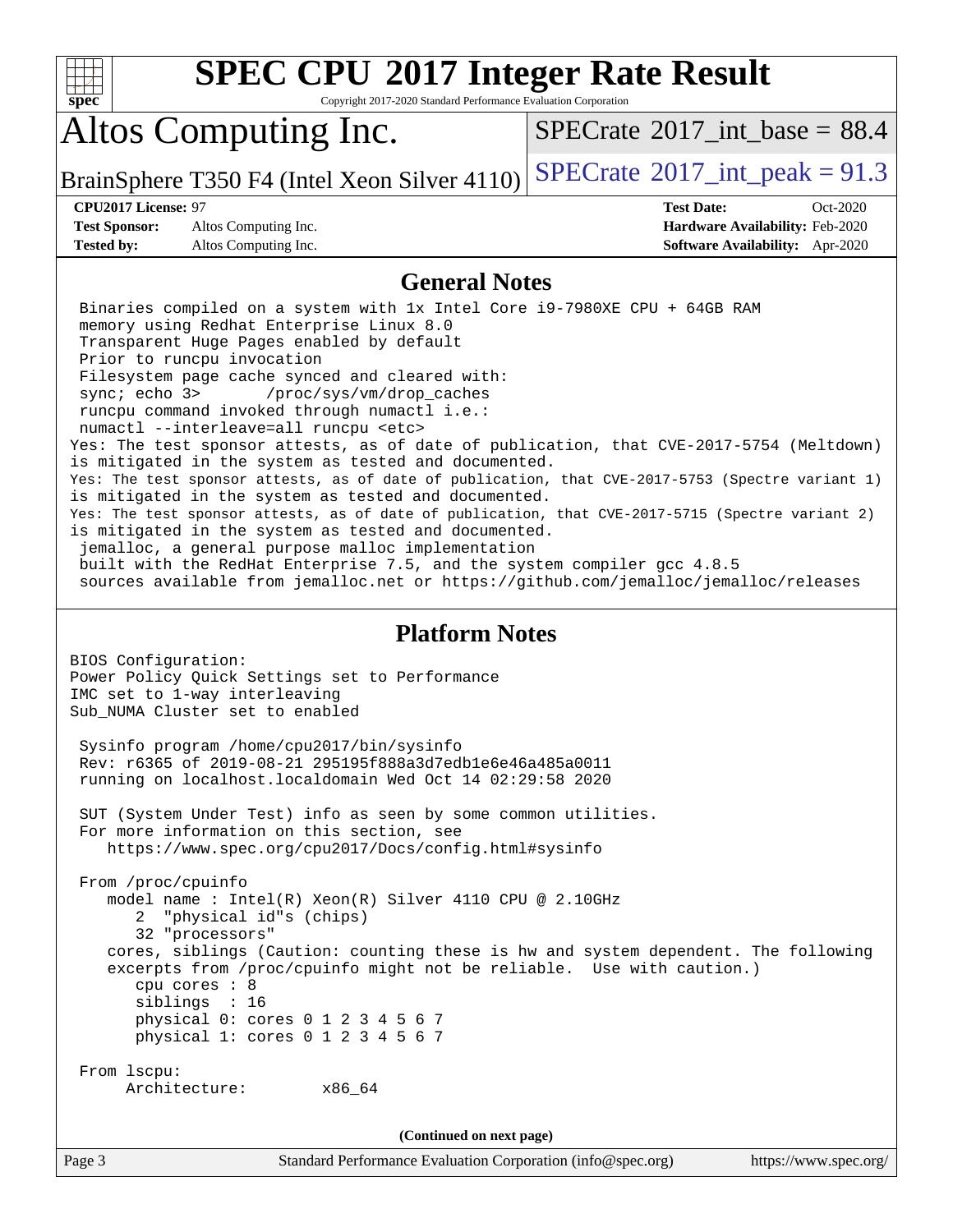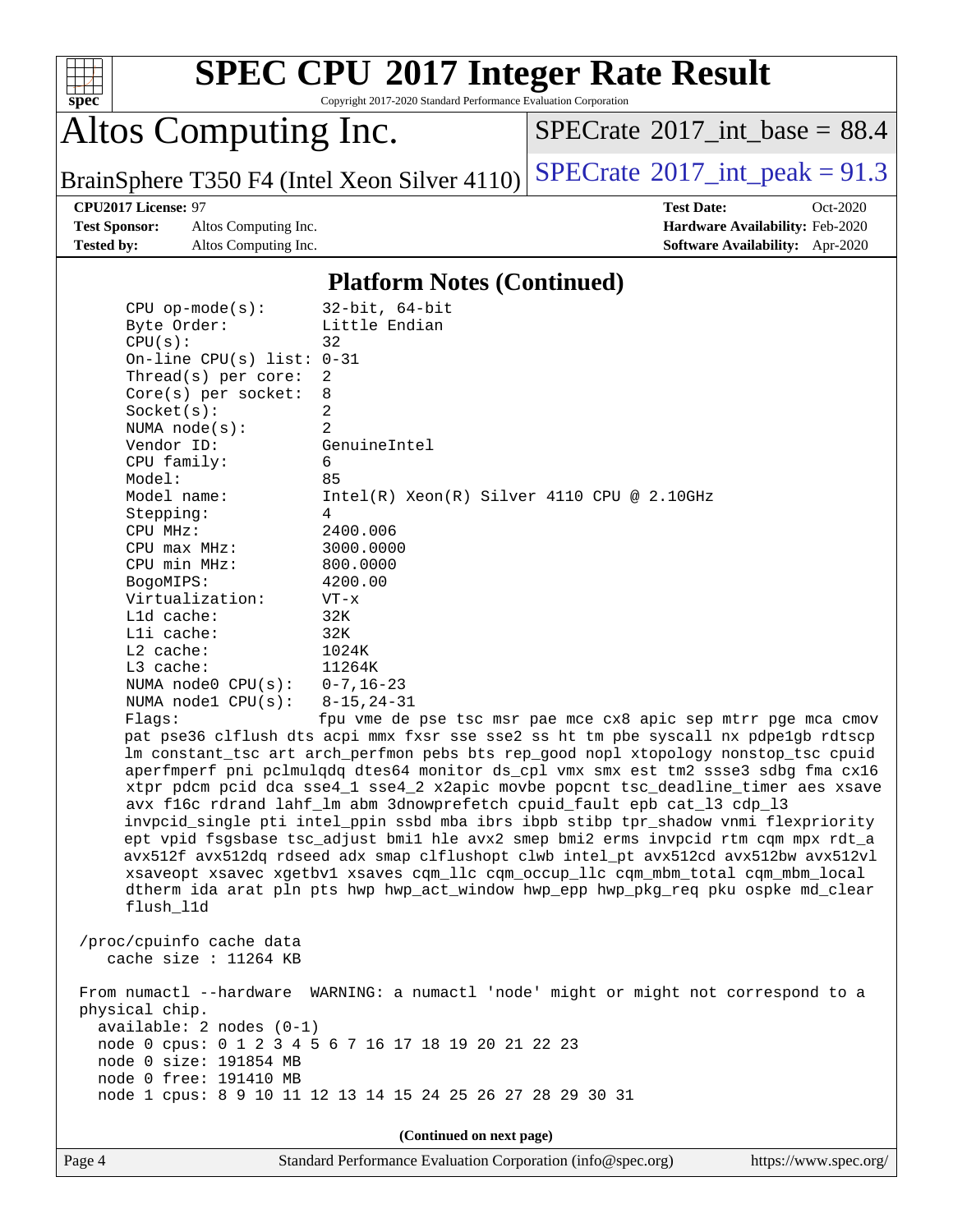

Copyright 2017-2020 Standard Performance Evaluation Corporation

Altos Computing Inc.

[SPECrate](http://www.spec.org/auto/cpu2017/Docs/result-fields.html#SPECrate2017intbase)<sup>®</sup>2017 int\_base =  $88.4$ 

BrainSphere T350 F4 (Intel Xeon Silver  $4110$ ) [SPECrate](http://www.spec.org/auto/cpu2017/Docs/result-fields.html#SPECrate2017intpeak)<sup>®</sup>[2017\\_int\\_peak =](http://www.spec.org/auto/cpu2017/Docs/result-fields.html#SPECrate2017intpeak) 91.3

**[Test Sponsor:](http://www.spec.org/auto/cpu2017/Docs/result-fields.html#TestSponsor)** Altos Computing Inc. **[Hardware Availability:](http://www.spec.org/auto/cpu2017/Docs/result-fields.html#HardwareAvailability)** Feb-2020 **[Tested by:](http://www.spec.org/auto/cpu2017/Docs/result-fields.html#Testedby)** Altos Computing Inc. **[Software Availability:](http://www.spec.org/auto/cpu2017/Docs/result-fields.html#SoftwareAvailability)** Apr-2020

**[CPU2017 License:](http://www.spec.org/auto/cpu2017/Docs/result-fields.html#CPU2017License)** 97 **[Test Date:](http://www.spec.org/auto/cpu2017/Docs/result-fields.html#TestDate)** Oct-2020

### **[Platform Notes \(Continued\)](http://www.spec.org/auto/cpu2017/Docs/result-fields.html#PlatformNotes)**

| $CPU$ op-mode( $s$ ):       | $32$ -bit, $64$ -bit                                                                 |
|-----------------------------|--------------------------------------------------------------------------------------|
| Byte Order:                 | Little Endian                                                                        |
| CPU(s):                     | 32                                                                                   |
| On-line CPU(s) list: $0-31$ |                                                                                      |
| Thread(s) per core:         | 2                                                                                    |
| $Core(s)$ per socket:       | 8                                                                                    |
| Socket(s):                  | 2                                                                                    |
| NUMA $node(s):$             | $\overline{2}$                                                                       |
| Vendor ID:                  | GenuineIntel                                                                         |
| CPU family:                 | 6                                                                                    |
| Model:                      | 85                                                                                   |
| Model name:                 | $Intel(R) Xeon(R) Silver 4110 CPU @ 2.10GHz$                                         |
| Stepping:                   | 4                                                                                    |
| CPU MHz:                    | 2400.006                                                                             |
| CPU max MHz:                | 3000.0000                                                                            |
| CPU min MHz:                | 800.0000                                                                             |
| BogoMIPS:                   | 4200.00                                                                              |
| Virtualization:             | $VT - x$                                                                             |
| L1d cache:                  | 32K                                                                                  |
| Lli cache:                  | 32K                                                                                  |
| $L2$ cache:                 | 1024K                                                                                |
| $L3$ cache:                 | 11264K                                                                               |
| NUMA $node0$ $CPU(s):$      | $0 - 7$ , 16-23                                                                      |
| NUMA nodel $CPU(s):$        | $8 - 15, 24 - 31$                                                                    |
| Flaqs:                      | fpu vme de pse tsc msr pae mce cx8 apic sep mtrr pge mca cmov                        |
|                             | pat pse36 clflush dts acpi mmx fxsr sse sse2 ss ht tm pbe syscall nx pdpelgb rdtscp  |
|                             | lm constant_tsc art arch_perfmon pebs bts rep_good nopl xtopology nonstop_tsc cpuid  |
|                             | aperfmperf pni pclmulqdq dtes64 monitor ds_cpl vmx smx est tm2 ssse3 sdbg fma cx16   |
|                             | xtpr pdcm pcid dca sse4_1 sse4_2 x2apic movbe popcnt tsc_deadline_timer aes xsave    |
|                             | avx f16c rdrand lahf_lm abm 3dnowprefetch cpuid_fault epb cat_13 cdp_13              |
|                             | invpcid_single pti intel_ppin ssbd mba ibrs ibpb stibp tpr_shadow vnmi flexpriority  |
|                             | ept vpid fsgsbase tsc_adjust bmil hle avx2 smep bmi2 erms invpcid rtm cqm mpx rdt_a  |
|                             | avx512f avx512dq rdseed adx smap clflushopt clwb intel_pt avx512cd avx512bw avx512vl |
|                             | xsaveopt xsavec xgetbvl xsaves cqm_llc cqm_occup_llc cqm_mbm_total cqm_mbm_local     |
|                             | dtherm ida arat pln pts hwp hwp_act_window hwp_epp hwp_pkg_req pku ospke md_clear    |
| flush_11d                   |                                                                                      |
|                             |                                                                                      |
| /proc/cpuinfo cache data    |                                                                                      |
| cache size : $11264$ KB     |                                                                                      |
|                             |                                                                                      |
|                             | From numactl --hardware WARNING: a numactl 'node' might or might not correspond to a |
| physical chip.              |                                                                                      |

 available: 2 nodes (0-1) node 0 cpus: 0 1 2 3 4 5 6 7 16 17 18 19 20 21 22 23 node 0 size: 191854 MB

node 1 cpus: 8 9 10 11 12 13 14 15 24 25 26 27 28 29 30 31

**(Continued on next page)**

node 0 free: 191410 MB

Page 4 Standard Performance Evaluation Corporation [\(info@spec.org\)](mailto:info@spec.org) <https://www.spec.org/>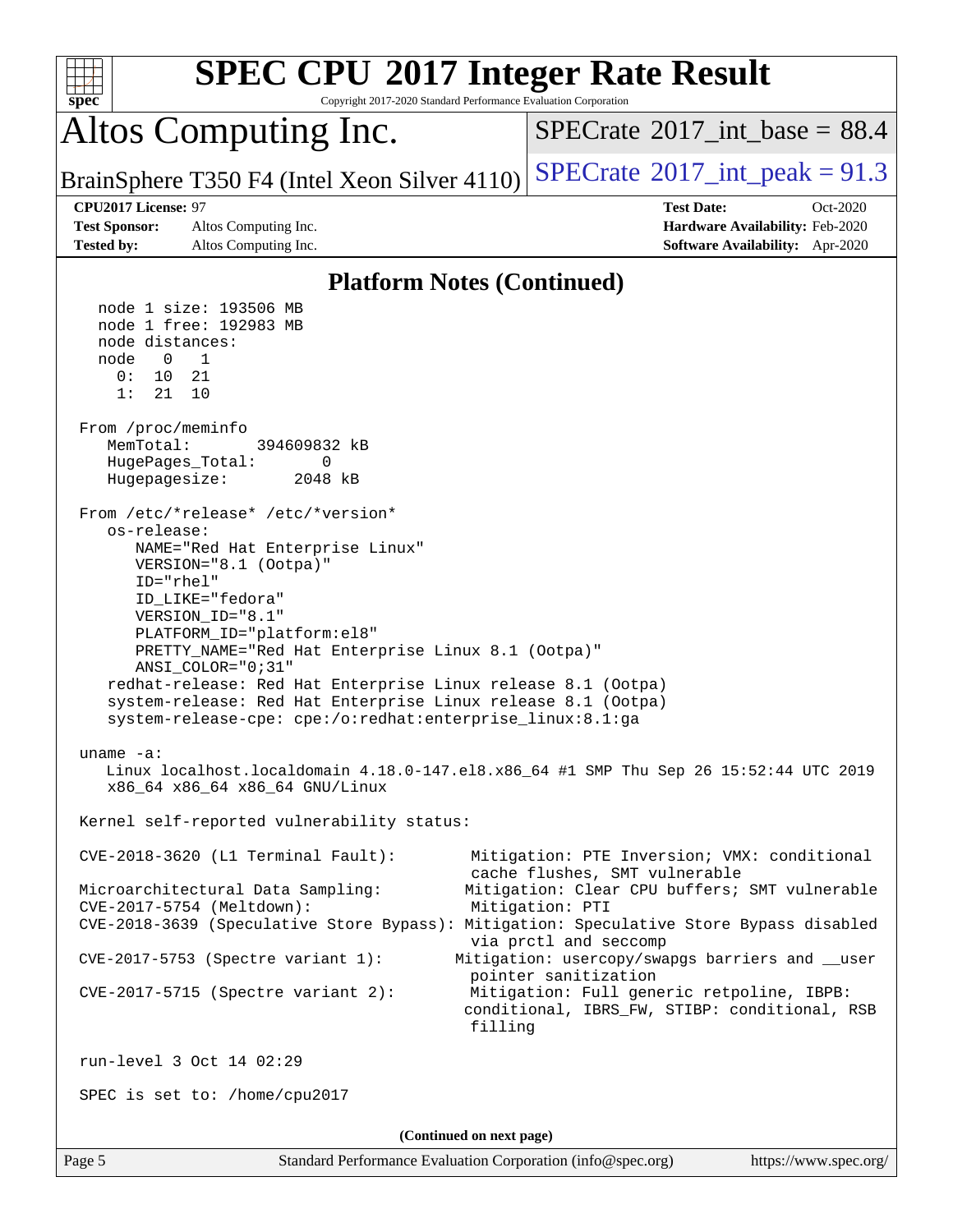| spec <sup>®</sup>                                                                                                                                                                                                                                                                                                                                                                                                                                                                                                                                                                                                                                                                                         | Copyright 2017-2020 Standard Performance Evaluation Corporation                                                                                                                                                                                                                                                                                                  | <b>SPEC CPU®2017 Integer Rate Result</b>                                                                                                                                                                                                                                                                                                                                                                                                                                                                                                          |  |  |  |  |
|-----------------------------------------------------------------------------------------------------------------------------------------------------------------------------------------------------------------------------------------------------------------------------------------------------------------------------------------------------------------------------------------------------------------------------------------------------------------------------------------------------------------------------------------------------------------------------------------------------------------------------------------------------------------------------------------------------------|------------------------------------------------------------------------------------------------------------------------------------------------------------------------------------------------------------------------------------------------------------------------------------------------------------------------------------------------------------------|---------------------------------------------------------------------------------------------------------------------------------------------------------------------------------------------------------------------------------------------------------------------------------------------------------------------------------------------------------------------------------------------------------------------------------------------------------------------------------------------------------------------------------------------------|--|--|--|--|
| Altos Computing Inc.                                                                                                                                                                                                                                                                                                                                                                                                                                                                                                                                                                                                                                                                                      |                                                                                                                                                                                                                                                                                                                                                                  | $SPECTate$ <sup>®</sup> 2017 int base = 88.4                                                                                                                                                                                                                                                                                                                                                                                                                                                                                                      |  |  |  |  |
|                                                                                                                                                                                                                                                                                                                                                                                                                                                                                                                                                                                                                                                                                                           | BrainSphere T350 F4 (Intel Xeon Silver 4110)                                                                                                                                                                                                                                                                                                                     | $SPECTate^{\circ}2017\_int\_peak = 91.3$                                                                                                                                                                                                                                                                                                                                                                                                                                                                                                          |  |  |  |  |
| CPU2017 License: 97                                                                                                                                                                                                                                                                                                                                                                                                                                                                                                                                                                                                                                                                                       |                                                                                                                                                                                                                                                                                                                                                                  | <b>Test Date:</b><br>Oct-2020                                                                                                                                                                                                                                                                                                                                                                                                                                                                                                                     |  |  |  |  |
| <b>Test Sponsor:</b><br>Altos Computing Inc.                                                                                                                                                                                                                                                                                                                                                                                                                                                                                                                                                                                                                                                              |                                                                                                                                                                                                                                                                                                                                                                  | Hardware Availability: Feb-2020                                                                                                                                                                                                                                                                                                                                                                                                                                                                                                                   |  |  |  |  |
| <b>Tested by:</b><br>Altos Computing Inc.                                                                                                                                                                                                                                                                                                                                                                                                                                                                                                                                                                                                                                                                 |                                                                                                                                                                                                                                                                                                                                                                  | Software Availability: Apr-2020                                                                                                                                                                                                                                                                                                                                                                                                                                                                                                                   |  |  |  |  |
|                                                                                                                                                                                                                                                                                                                                                                                                                                                                                                                                                                                                                                                                                                           | <b>Platform Notes (Continued)</b>                                                                                                                                                                                                                                                                                                                                |                                                                                                                                                                                                                                                                                                                                                                                                                                                                                                                                                   |  |  |  |  |
| node 1 size: 193506 MB<br>node 1 free: 192983 MB<br>node distances:<br>$\overline{0}$<br>node<br>1<br>0:<br>10<br>21<br>1:<br>21<br>10<br>From /proc/meminfo<br>MemTotal:<br>HugePages_Total:<br>Hugepagesize:<br>From /etc/*release* /etc/*version*<br>os-release:<br>VERSION="8.1 (Ootpa)"<br>ID="rhel"<br>ID LIKE="fedora"<br>VERSION_ID="8.1"<br>PLATFORM_ID="platform:el8"<br>ANSI_COLOR="0;31"<br>uname $-a$ :<br>x86_64 x86_64 x86_64 GNU/Linux<br>CVE-2018-3620 (L1 Terminal Fault):<br>Microarchitectural Data Sampling:<br>CVE-2017-5754 (Meltdown):<br>CVE-2017-5753 (Spectre variant 1):<br>$CVE-2017-5715$ (Spectre variant 2):<br>run-level 3 Oct 14 02:29<br>SPEC is set to: /home/cpu2017 | 394609832 kB<br>0<br>2048 kB<br>NAME="Red Hat Enterprise Linux"<br>PRETTY_NAME="Red Hat Enterprise Linux 8.1 (Ootpa)"<br>redhat-release: Red Hat Enterprise Linux release 8.1 (Ootpa)<br>system-release: Red Hat Enterprise Linux release 8.1 (Ootpa)<br>system-release-cpe: cpe:/o:redhat:enterprise_linux:8.1:ga<br>Kernel self-reported vulnerability status: | Linux localhost.localdomain 4.18.0-147.el8.x86_64 #1 SMP Thu Sep 26 15:52:44 UTC 2019<br>Mitigation: PTE Inversion; VMX: conditional<br>cache flushes, SMT vulnerable<br>Mitigation: Clear CPU buffers; SMT vulnerable<br>Mitigation: PTI<br>CVE-2018-3639 (Speculative Store Bypass): Mitigation: Speculative Store Bypass disabled<br>via prctl and seccomp<br>Mitigation: usercopy/swapgs barriers and __user<br>pointer sanitization<br>Mitigation: Full generic retpoline, IBPB:<br>conditional, IBRS_FW, STIBP: conditional, RSB<br>filling |  |  |  |  |
|                                                                                                                                                                                                                                                                                                                                                                                                                                                                                                                                                                                                                                                                                                           |                                                                                                                                                                                                                                                                                                                                                                  |                                                                                                                                                                                                                                                                                                                                                                                                                                                                                                                                                   |  |  |  |  |
| (Continued on next page)                                                                                                                                                                                                                                                                                                                                                                                                                                                                                                                                                                                                                                                                                  |                                                                                                                                                                                                                                                                                                                                                                  |                                                                                                                                                                                                                                                                                                                                                                                                                                                                                                                                                   |  |  |  |  |
| Page 5                                                                                                                                                                                                                                                                                                                                                                                                                                                                                                                                                                                                                                                                                                    | Standard Performance Evaluation Corporation (info@spec.org)                                                                                                                                                                                                                                                                                                      | https://www.spec.org/                                                                                                                                                                                                                                                                                                                                                                                                                                                                                                                             |  |  |  |  |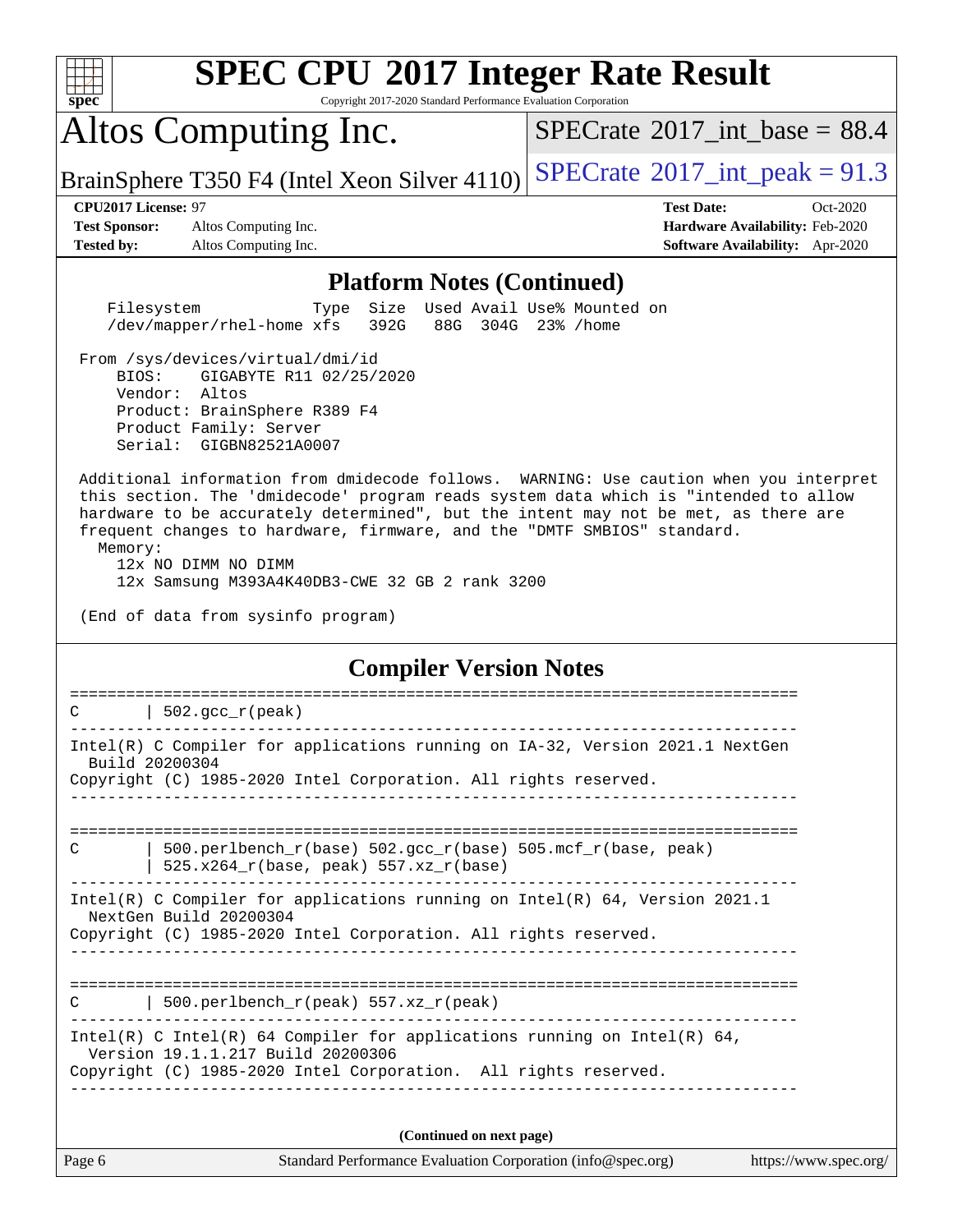

Copyright 2017-2020 Standard Performance Evaluation Corporation

# Altos Computing Inc.

[SPECrate](http://www.spec.org/auto/cpu2017/Docs/result-fields.html#SPECrate2017intbase)®2017 int\_base =  $88.4$ 

BrainSphere T350 F4 (Intel Xeon Silver  $4110$ ) [SPECrate](http://www.spec.org/auto/cpu2017/Docs/result-fields.html#SPECrate2017intpeak)<sup>®</sup>[2017\\_int\\_peak =](http://www.spec.org/auto/cpu2017/Docs/result-fields.html#SPECrate2017intpeak) 91.3

**[Test Sponsor:](http://www.spec.org/auto/cpu2017/Docs/result-fields.html#TestSponsor)** Altos Computing Inc. **[Hardware Availability:](http://www.spec.org/auto/cpu2017/Docs/result-fields.html#HardwareAvailability)** Feb-2020 **[Tested by:](http://www.spec.org/auto/cpu2017/Docs/result-fields.html#Testedby)** Altos Computing Inc. **[Software Availability:](http://www.spec.org/auto/cpu2017/Docs/result-fields.html#SoftwareAvailability)** Apr-2020

**[CPU2017 License:](http://www.spec.org/auto/cpu2017/Docs/result-fields.html#CPU2017License)** 97 **[Test Date:](http://www.spec.org/auto/cpu2017/Docs/result-fields.html#TestDate)** Oct-2020

### **[Platform Notes \(Continued\)](http://www.spec.org/auto/cpu2017/Docs/result-fields.html#PlatformNotes)**

 Filesystem Type Size Used Avail Use% Mounted on /dev/mapper/rhel-home xfs 392G 88G 304G 23% /home

 From /sys/devices/virtual/dmi/id BIOS: GIGABYTE R11 02/25/2020 Vendor: Altos Product: BrainSphere R389 F4 Product Family: Server Serial: GIGBN82521A0007

 Additional information from dmidecode follows. WARNING: Use caution when you interpret this section. The 'dmidecode' program reads system data which is "intended to allow hardware to be accurately determined", but the intent may not be met, as there are frequent changes to hardware, firmware, and the "DMTF SMBIOS" standard. Memory:

 12x NO DIMM NO DIMM 12x Samsung M393A4K40DB3-CWE 32 GB 2 rank 3200

(End of data from sysinfo program)

## **[Compiler Version Notes](http://www.spec.org/auto/cpu2017/Docs/result-fields.html#CompilerVersionNotes)**

Page 6 Standard Performance Evaluation Corporation [\(info@spec.org\)](mailto:info@spec.org) <https://www.spec.org/> ==============================================================================  $C \qquad \qquad \vert$  502.gcc  $r(\text{peak})$ ------------------------------------------------------------------------------ Intel(R) C Compiler for applications running on IA-32, Version 2021.1 NextGen Build 20200304 Copyright (C) 1985-2020 Intel Corporation. All rights reserved. ------------------------------------------------------------------------------ ============================================================================== C  $| 500.\text{perlbench_r(base)} 502.\text{gcc_r(base)} 505.\text{mcf_r(base)} peak\rangle$  | 525.x264\_r(base, peak) 557.xz\_r(base) ------------------------------------------------------------------------------ Intel(R) C Compiler for applications running on Intel(R) 64, Version 2021.1 NextGen Build 20200304 Copyright (C) 1985-2020 Intel Corporation. All rights reserved. ------------------------------------------------------------------------------ ============================================================================== C | 500.perlbench\_r(peak) 557.xz\_r(peak) ------------------------------------------------------------------------------ Intel(R) C Intel(R) 64 Compiler for applications running on Intel(R)  $64$ , Version 19.1.1.217 Build 20200306 Copyright (C) 1985-2020 Intel Corporation. All rights reserved. ------------------------------------------------------------------------------ **(Continued on next page)**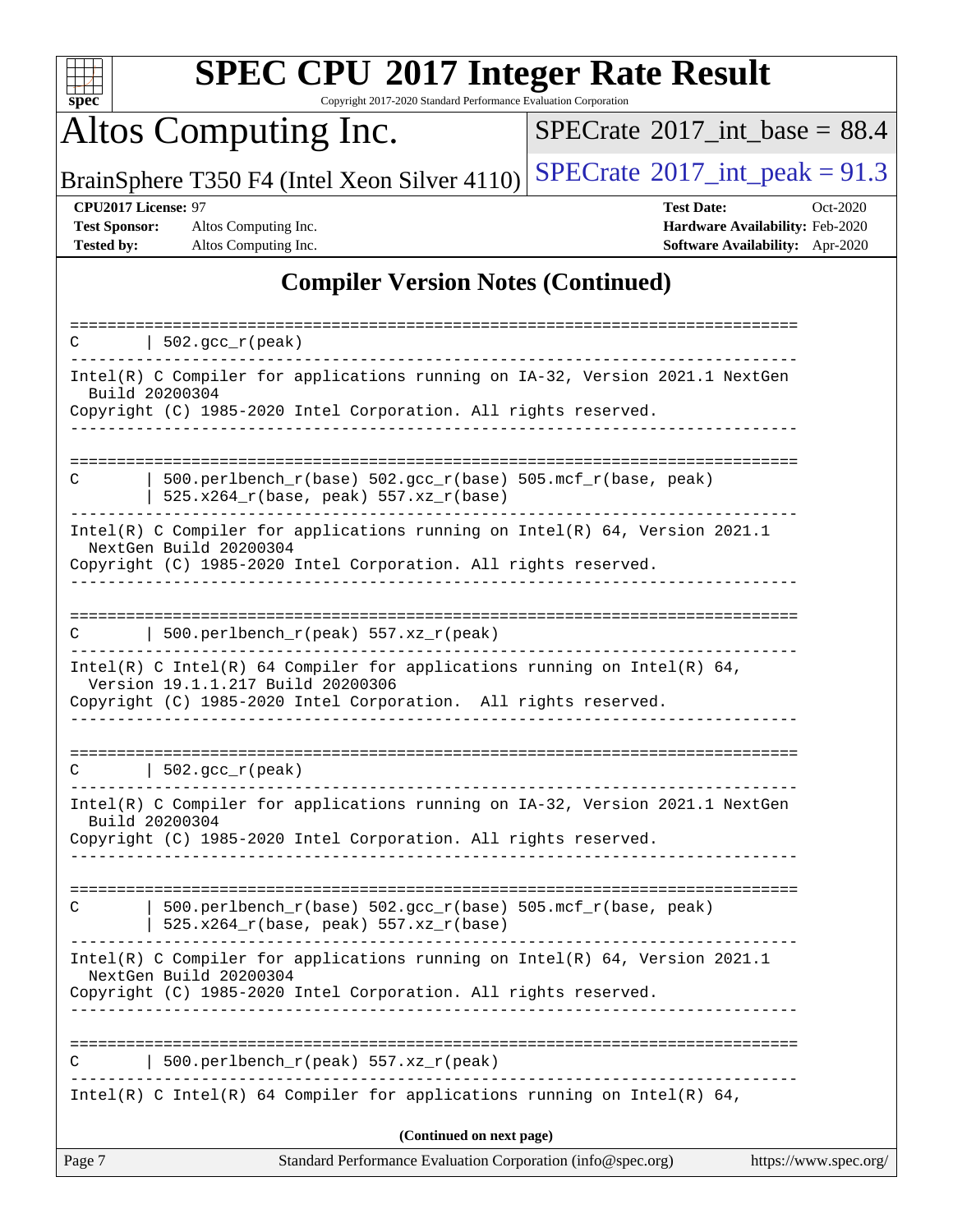

Copyright 2017-2020 Standard Performance Evaluation Corporation

Altos Computing Inc.

 $SPECTate$ <sup>®</sup>[2017\\_int\\_base =](http://www.spec.org/auto/cpu2017/Docs/result-fields.html#SPECrate2017intbase) 88.4

BrainSphere T350 F4 (Intel Xeon Silver 4110) [SPECrate](http://www.spec.org/auto/cpu2017/Docs/result-fields.html#SPECrate2017intpeak)<sup>®</sup>[2017\\_int\\_peak =](http://www.spec.org/auto/cpu2017/Docs/result-fields.html#SPECrate2017intpeak) 91.3

**[Test Sponsor:](http://www.spec.org/auto/cpu2017/Docs/result-fields.html#TestSponsor)** Altos Computing Inc. **[Hardware Availability:](http://www.spec.org/auto/cpu2017/Docs/result-fields.html#HardwareAvailability)** Feb-2020 **[Tested by:](http://www.spec.org/auto/cpu2017/Docs/result-fields.html#Testedby)** Altos Computing Inc. **[Software Availability:](http://www.spec.org/auto/cpu2017/Docs/result-fields.html#SoftwareAvailability)** Apr-2020

**[CPU2017 License:](http://www.spec.org/auto/cpu2017/Docs/result-fields.html#CPU2017License)** 97 **[Test Date:](http://www.spec.org/auto/cpu2017/Docs/result-fields.html#TestDate)** Oct-2020

## **[Compiler Version Notes \(Continued\)](http://www.spec.org/auto/cpu2017/Docs/result-fields.html#CompilerVersionNotes)**

| Page 7 | Standard Performance Evaluation Corporation (info@spec.org)                                                   | https://www.spec.org/ |
|--------|---------------------------------------------------------------------------------------------------------------|-----------------------|
|        | (Continued on next page)                                                                                      |                       |
|        | Intel(R) C Intel(R) 64 Compiler for applications running on Intel(R) 64,                                      |                       |
|        | 500.perlbench_r(peak) 557.xz_r(peak)                                                                          |                       |
|        |                                                                                                               |                       |
|        | Copyright (C) 1985-2020 Intel Corporation. All rights reserved.                                               |                       |
|        | Intel(R) C Compiler for applications running on Intel(R) 64, Version 2021.1<br>NextGen Build 20200304         |                       |
| C      | 500.perlbench_r(base) 502.gcc_r(base) 505.mcf_r(base, peak)<br>525.x264_r(base, peak) 557.xz_r(base)          |                       |
|        |                                                                                                               |                       |
|        | Build 20200304<br>Copyright (C) 1985-2020 Intel Corporation. All rights reserved.                             |                       |
|        | Intel(R) C Compiler for applications running on IA-32, Version 2021.1 NextGen                                 |                       |
|        | $C$   502.gcc_r(peak)                                                                                         |                       |
|        | Copyright (C) 1985-2020 Intel Corporation. All rights reserved.                                               |                       |
|        | Intel(R) C Intel(R) 64 Compiler for applications running on Intel(R) 64,<br>Version 19.1.1.217 Build 20200306 |                       |
| C.     | 500.perlbench_r(peak) 557.xz_r(peak)                                                                          |                       |
|        |                                                                                                               |                       |
|        | Copyright (C) 1985-2020 Intel Corporation. All rights reserved.                                               |                       |
|        | Intel(R) C Compiler for applications running on Intel(R) 64, Version 2021.1<br>NextGen Build 20200304         |                       |
| C      | 500.perlbench_r(base) 502.gcc_r(base) 505.mcf_r(base, peak)<br>$525.x264_r(base, peak) 557.xz_r(base)$        |                       |
|        |                                                                                                               |                       |
|        | Build 20200304<br>Copyright (C) 1985-2020 Intel Corporation. All rights reserved.                             |                       |
|        | Intel(R) C Compiler for applications running on IA-32, Version 2021.1 NextGen                                 |                       |
|        | $502.$ gcc_r(peak)                                                                                            |                       |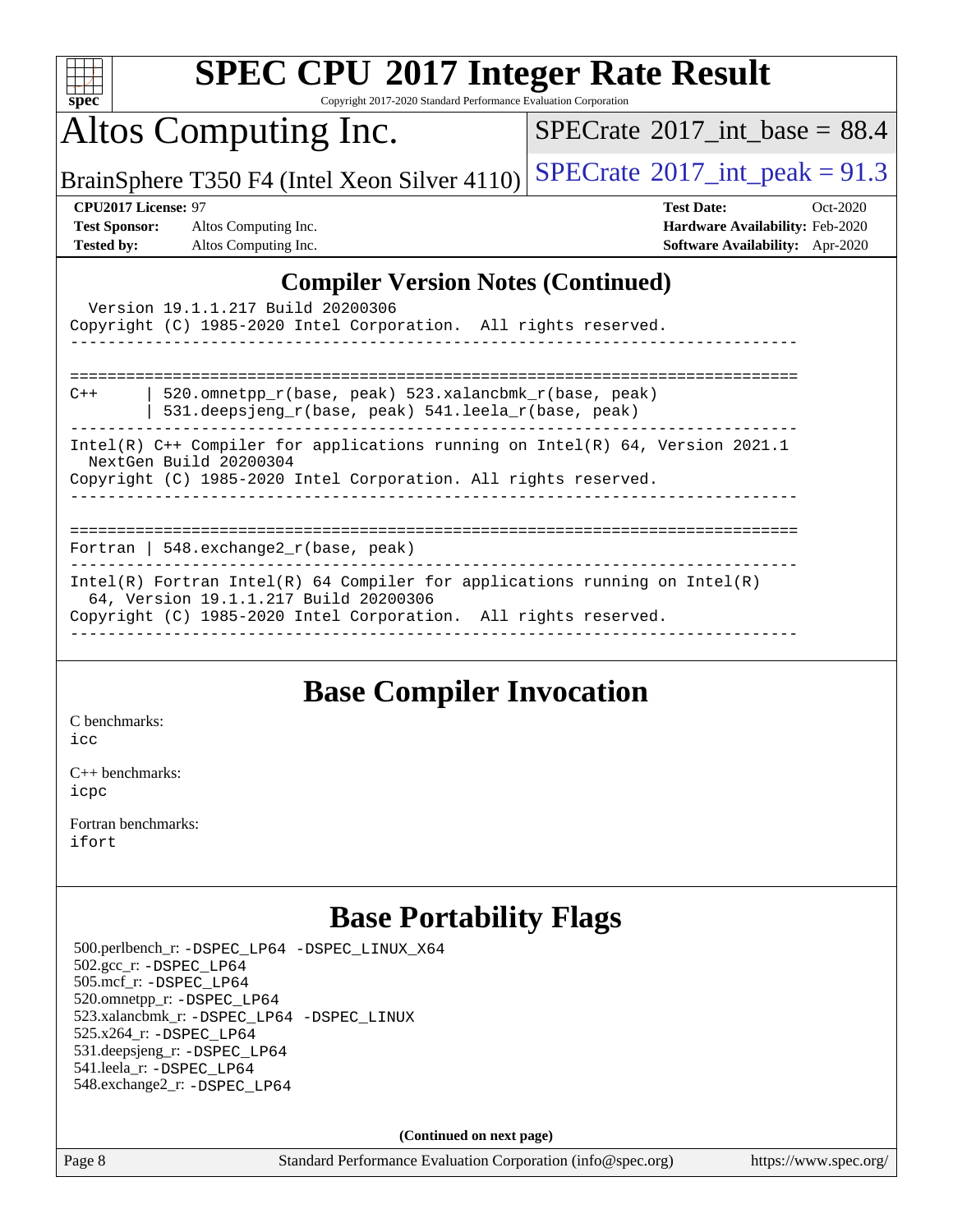| <b>SPEC CPU®2017 Integer Rate Result</b>                                                                                                                                                                                                                                                                                                                                                                                                                 |                                              |  |  |  |  |
|----------------------------------------------------------------------------------------------------------------------------------------------------------------------------------------------------------------------------------------------------------------------------------------------------------------------------------------------------------------------------------------------------------------------------------------------------------|----------------------------------------------|--|--|--|--|
| Copyright 2017-2020 Standard Performance Evaluation Corporation<br>$Spec^*$                                                                                                                                                                                                                                                                                                                                                                              |                                              |  |  |  |  |
| Altos Computing Inc.                                                                                                                                                                                                                                                                                                                                                                                                                                     | $SPECrate^{\circ}2017$ int base = 88.4       |  |  |  |  |
| BrainSphere T350 F4 (Intel Xeon Silver 4110)                                                                                                                                                                                                                                                                                                                                                                                                             | $SPECTate$ <sup>®</sup> 2017_int_peak = 91.3 |  |  |  |  |
| CPU2017 License: 97                                                                                                                                                                                                                                                                                                                                                                                                                                      | <b>Test Date:</b><br>$Oct-2020$              |  |  |  |  |
| <b>Test Sponsor:</b><br>Altos Computing Inc.                                                                                                                                                                                                                                                                                                                                                                                                             | Hardware Availability: Feb-2020              |  |  |  |  |
| <b>Tested by:</b><br>Altos Computing Inc.                                                                                                                                                                                                                                                                                                                                                                                                                | Software Availability: Apr-2020              |  |  |  |  |
| <b>Compiler Version Notes (Continued)</b><br>Version 19.1.1.217 Build 20200306<br>Copyright (C) 1985-2020 Intel Corporation. All rights reserved.<br>520.omnetpp_r(base, peak) 523.xalancbmk_r(base, peak)<br>$C++$<br>531.deepsjeng_r(base, peak) 541.leela_r(base, peak)<br>Intel(R) C++ Compiler for applications running on Intel(R) 64, Version 2021.1<br>NextGen Build 20200304<br>Copyright (C) 1985-2020 Intel Corporation. All rights reserved. |                                              |  |  |  |  |
| Fortran   548.exchange2_r(base, peak)<br>Intel(R) Fortran Intel(R) 64 Compiler for applications running on Intel(R)<br>64, Version 19.1.1.217 Build 20200306<br>Copyright (C) 1985-2020 Intel Corporation. All rights reserved.                                                                                                                                                                                                                          | ===================                          |  |  |  |  |
|                                                                                                                                                                                                                                                                                                                                                                                                                                                          |                                              |  |  |  |  |

## **[Base Compiler Invocation](http://www.spec.org/auto/cpu2017/Docs/result-fields.html#BaseCompilerInvocation)**

[C benchmarks](http://www.spec.org/auto/cpu2017/Docs/result-fields.html#Cbenchmarks): [icc](http://www.spec.org/cpu2017/results/res2020q4/cpu2017-20201015-24218.flags.html#user_CCbase_intel_icc_66fc1ee009f7361af1fbd72ca7dcefbb700085f36577c54f309893dd4ec40d12360134090235512931783d35fd58c0460139e722d5067c5574d8eaf2b3e37e92)

[C++ benchmarks:](http://www.spec.org/auto/cpu2017/Docs/result-fields.html#CXXbenchmarks) [icpc](http://www.spec.org/cpu2017/results/res2020q4/cpu2017-20201015-24218.flags.html#user_CXXbase_intel_icpc_c510b6838c7f56d33e37e94d029a35b4a7bccf4766a728ee175e80a419847e808290a9b78be685c44ab727ea267ec2f070ec5dc83b407c0218cded6866a35d07)

[Fortran benchmarks](http://www.spec.org/auto/cpu2017/Docs/result-fields.html#Fortranbenchmarks): [ifort](http://www.spec.org/cpu2017/results/res2020q4/cpu2017-20201015-24218.flags.html#user_FCbase_intel_ifort_8111460550e3ca792625aed983ce982f94888b8b503583aa7ba2b8303487b4d8a21a13e7191a45c5fd58ff318f48f9492884d4413fa793fd88dd292cad7027ca)

## **[Base Portability Flags](http://www.spec.org/auto/cpu2017/Docs/result-fields.html#BasePortabilityFlags)**

 500.perlbench\_r: [-DSPEC\\_LP64](http://www.spec.org/cpu2017/results/res2020q4/cpu2017-20201015-24218.flags.html#b500.perlbench_r_basePORTABILITY_DSPEC_LP64) [-DSPEC\\_LINUX\\_X64](http://www.spec.org/cpu2017/results/res2020q4/cpu2017-20201015-24218.flags.html#b500.perlbench_r_baseCPORTABILITY_DSPEC_LINUX_X64) 502.gcc\_r: [-DSPEC\\_LP64](http://www.spec.org/cpu2017/results/res2020q4/cpu2017-20201015-24218.flags.html#suite_basePORTABILITY502_gcc_r_DSPEC_LP64) 505.mcf\_r: [-DSPEC\\_LP64](http://www.spec.org/cpu2017/results/res2020q4/cpu2017-20201015-24218.flags.html#suite_basePORTABILITY505_mcf_r_DSPEC_LP64) 520.omnetpp\_r: [-DSPEC\\_LP64](http://www.spec.org/cpu2017/results/res2020q4/cpu2017-20201015-24218.flags.html#suite_basePORTABILITY520_omnetpp_r_DSPEC_LP64) 523.xalancbmk\_r: [-DSPEC\\_LP64](http://www.spec.org/cpu2017/results/res2020q4/cpu2017-20201015-24218.flags.html#suite_basePORTABILITY523_xalancbmk_r_DSPEC_LP64) [-DSPEC\\_LINUX](http://www.spec.org/cpu2017/results/res2020q4/cpu2017-20201015-24218.flags.html#b523.xalancbmk_r_baseCXXPORTABILITY_DSPEC_LINUX) 525.x264\_r: [-DSPEC\\_LP64](http://www.spec.org/cpu2017/results/res2020q4/cpu2017-20201015-24218.flags.html#suite_basePORTABILITY525_x264_r_DSPEC_LP64) 531.deepsjeng\_r: [-DSPEC\\_LP64](http://www.spec.org/cpu2017/results/res2020q4/cpu2017-20201015-24218.flags.html#suite_basePORTABILITY531_deepsjeng_r_DSPEC_LP64) 541.leela\_r: [-DSPEC\\_LP64](http://www.spec.org/cpu2017/results/res2020q4/cpu2017-20201015-24218.flags.html#suite_basePORTABILITY541_leela_r_DSPEC_LP64) 548.exchange2\_r: [-DSPEC\\_LP64](http://www.spec.org/cpu2017/results/res2020q4/cpu2017-20201015-24218.flags.html#suite_basePORTABILITY548_exchange2_r_DSPEC_LP64)

**(Continued on next page)**

Page 8 Standard Performance Evaluation Corporation [\(info@spec.org\)](mailto:info@spec.org) <https://www.spec.org/>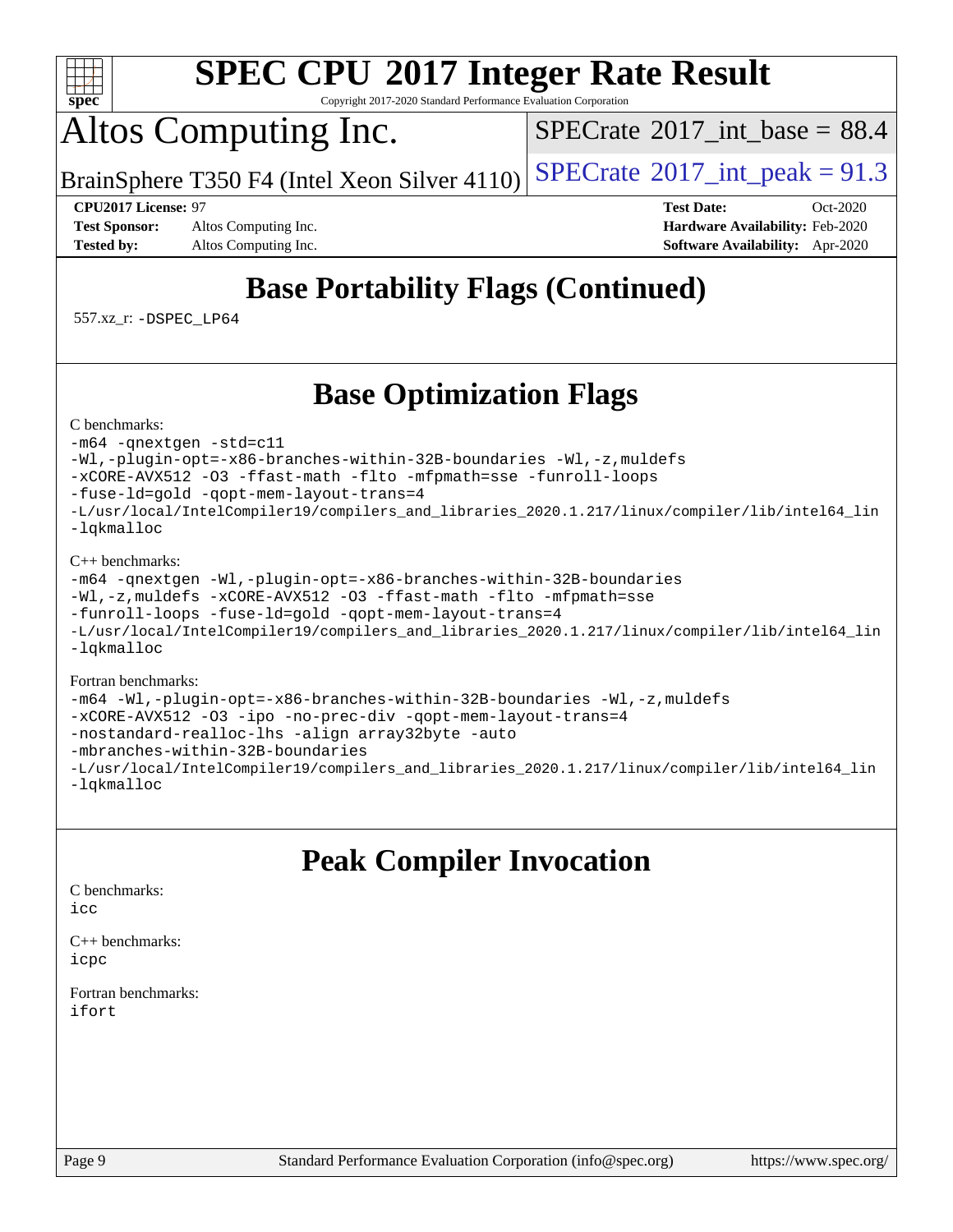

Copyright 2017-2020 Standard Performance Evaluation Corporation

# Altos Computing Inc.

[SPECrate](http://www.spec.org/auto/cpu2017/Docs/result-fields.html#SPECrate2017intbase)<sup>®</sup>2017 int\_base =  $88.4$ 

BrainSphere T350 F4 (Intel Xeon Silver  $4110$ ) [SPECrate](http://www.spec.org/auto/cpu2017/Docs/result-fields.html#SPECrate2017intpeak)<sup>®</sup>[2017\\_int\\_peak =](http://www.spec.org/auto/cpu2017/Docs/result-fields.html#SPECrate2017intpeak) 91.3

**[Test Sponsor:](http://www.spec.org/auto/cpu2017/Docs/result-fields.html#TestSponsor)** Altos Computing Inc. **[Hardware Availability:](http://www.spec.org/auto/cpu2017/Docs/result-fields.html#HardwareAvailability)** Feb-2020 **[Tested by:](http://www.spec.org/auto/cpu2017/Docs/result-fields.html#Testedby)** Altos Computing Inc. **[Software Availability:](http://www.spec.org/auto/cpu2017/Docs/result-fields.html#SoftwareAvailability)** Apr-2020

**[CPU2017 License:](http://www.spec.org/auto/cpu2017/Docs/result-fields.html#CPU2017License)** 97 **[Test Date:](http://www.spec.org/auto/cpu2017/Docs/result-fields.html#TestDate)** Oct-2020

## **[Base Portability Flags \(Continued\)](http://www.spec.org/auto/cpu2017/Docs/result-fields.html#BasePortabilityFlags)**

557.xz\_r: [-DSPEC\\_LP64](http://www.spec.org/cpu2017/results/res2020q4/cpu2017-20201015-24218.flags.html#suite_basePORTABILITY557_xz_r_DSPEC_LP64)

## **[Base Optimization Flags](http://www.spec.org/auto/cpu2017/Docs/result-fields.html#BaseOptimizationFlags)**

[C benchmarks](http://www.spec.org/auto/cpu2017/Docs/result-fields.html#Cbenchmarks):

[-m64](http://www.spec.org/cpu2017/results/res2020q4/cpu2017-20201015-24218.flags.html#user_CCbase_m64-icc) [-qnextgen](http://www.spec.org/cpu2017/results/res2020q4/cpu2017-20201015-24218.flags.html#user_CCbase_f-qnextgen) [-std=c11](http://www.spec.org/cpu2017/results/res2020q4/cpu2017-20201015-24218.flags.html#user_CCbase_std-icc-std_0e1c27790398a4642dfca32ffe6c27b5796f9c2d2676156f2e42c9c44eaad0c049b1cdb667a270c34d979996257aeb8fc440bfb01818dbc9357bd9d174cb8524) [-Wl,-plugin-opt=-x86-branches-within-32B-boundaries](http://www.spec.org/cpu2017/results/res2020q4/cpu2017-20201015-24218.flags.html#user_CCbase_f-x86-branches-within-32B-boundaries_0098b4e4317ae60947b7b728078a624952a08ac37a3c797dfb4ffeb399e0c61a9dd0f2f44ce917e9361fb9076ccb15e7824594512dd315205382d84209e912f3) [-Wl,-z,muldefs](http://www.spec.org/cpu2017/results/res2020q4/cpu2017-20201015-24218.flags.html#user_CCbase_link_force_multiple1_b4cbdb97b34bdee9ceefcfe54f4c8ea74255f0b02a4b23e853cdb0e18eb4525ac79b5a88067c842dd0ee6996c24547a27a4b99331201badda8798ef8a743f577) [-xCORE-AVX512](http://www.spec.org/cpu2017/results/res2020q4/cpu2017-20201015-24218.flags.html#user_CCbase_f-xCORE-AVX512) [-O3](http://www.spec.org/cpu2017/results/res2020q4/cpu2017-20201015-24218.flags.html#user_CCbase_f-O3) [-ffast-math](http://www.spec.org/cpu2017/results/res2020q4/cpu2017-20201015-24218.flags.html#user_CCbase_f-ffast-math) [-flto](http://www.spec.org/cpu2017/results/res2020q4/cpu2017-20201015-24218.flags.html#user_CCbase_f-flto) [-mfpmath=sse](http://www.spec.org/cpu2017/results/res2020q4/cpu2017-20201015-24218.flags.html#user_CCbase_f-mfpmath_70eb8fac26bde974f8ab713bc9086c5621c0b8d2f6c86f38af0bd7062540daf19db5f3a066d8c6684be05d84c9b6322eb3b5be6619d967835195b93d6c02afa1) [-funroll-loops](http://www.spec.org/cpu2017/results/res2020q4/cpu2017-20201015-24218.flags.html#user_CCbase_f-funroll-loops) [-fuse-ld=gold](http://www.spec.org/cpu2017/results/res2020q4/cpu2017-20201015-24218.flags.html#user_CCbase_f-fuse-ld_920b3586e2b8c6e0748b9c84fa9b744736ba725a32cab14ad8f3d4ad28eecb2f59d1144823d2e17006539a88734fe1fc08fc3035f7676166309105a78aaabc32) [-qopt-mem-layout-trans=4](http://www.spec.org/cpu2017/results/res2020q4/cpu2017-20201015-24218.flags.html#user_CCbase_f-qopt-mem-layout-trans_fa39e755916c150a61361b7846f310bcdf6f04e385ef281cadf3647acec3f0ae266d1a1d22d972a7087a248fd4e6ca390a3634700869573d231a252c784941a8) [-L/usr/local/IntelCompiler19/compilers\\_and\\_libraries\\_2020.1.217/linux/compiler/lib/intel64\\_lin](http://www.spec.org/cpu2017/results/res2020q4/cpu2017-20201015-24218.flags.html#user_CCbase_linkpath_2cb6f503891ebf8baee7515f4e7d4ec1217444d1d05903cc0091ac4158de400651d2b2313a9fa414cb8a8f0e16ab029634f5c6db340f400369c190d4db8a54a0) [-lqkmalloc](http://www.spec.org/cpu2017/results/res2020q4/cpu2017-20201015-24218.flags.html#user_CCbase_qkmalloc_link_lib_79a818439969f771c6bc311cfd333c00fc099dad35c030f5aab9dda831713d2015205805422f83de8875488a2991c0a156aaa600e1f9138f8fc37004abc96dc5)

### [C++ benchmarks](http://www.spec.org/auto/cpu2017/Docs/result-fields.html#CXXbenchmarks):

```
-m64 -qnextgen -Wl,-plugin-opt=-x86-branches-within-32B-boundaries
-Wl,-z,muldefs -xCORE-AVX512 -O3 -ffast-math -flto -mfpmath=sse
-funroll-loops -fuse-ld=gold -qopt-mem-layout-trans=4
-L/usr/local/IntelCompiler19/compilers_and_libraries_2020.1.217/linux/compiler/lib/intel64_lin
-lqkmalloc
```
### [Fortran benchmarks:](http://www.spec.org/auto/cpu2017/Docs/result-fields.html#Fortranbenchmarks)

```
-m64 -Wl,-plugin-opt=-x86-branches-within-32B-boundaries -Wl,-z,muldefs
-xCORE-AVX512 -O3 -ipo -no-prec-div -qopt-mem-layout-trans=4
-nostandard-realloc-lhs -align array32byte -auto
-mbranches-within-32B-boundaries
-L/usr/local/IntelCompiler19/compilers_and_libraries_2020.1.217/linux/compiler/lib/intel64_lin
-lqkmalloc
```
## **[Peak Compiler Invocation](http://www.spec.org/auto/cpu2017/Docs/result-fields.html#PeakCompilerInvocation)**

### [C benchmarks](http://www.spec.org/auto/cpu2017/Docs/result-fields.html#Cbenchmarks):

[icc](http://www.spec.org/cpu2017/results/res2020q4/cpu2017-20201015-24218.flags.html#user_CCpeak_intel_icc_66fc1ee009f7361af1fbd72ca7dcefbb700085f36577c54f309893dd4ec40d12360134090235512931783d35fd58c0460139e722d5067c5574d8eaf2b3e37e92)

[C++ benchmarks:](http://www.spec.org/auto/cpu2017/Docs/result-fields.html#CXXbenchmarks) [icpc](http://www.spec.org/cpu2017/results/res2020q4/cpu2017-20201015-24218.flags.html#user_CXXpeak_intel_icpc_c510b6838c7f56d33e37e94d029a35b4a7bccf4766a728ee175e80a419847e808290a9b78be685c44ab727ea267ec2f070ec5dc83b407c0218cded6866a35d07)

[Fortran benchmarks](http://www.spec.org/auto/cpu2017/Docs/result-fields.html#Fortranbenchmarks): [ifort](http://www.spec.org/cpu2017/results/res2020q4/cpu2017-20201015-24218.flags.html#user_FCpeak_intel_ifort_8111460550e3ca792625aed983ce982f94888b8b503583aa7ba2b8303487b4d8a21a13e7191a45c5fd58ff318f48f9492884d4413fa793fd88dd292cad7027ca)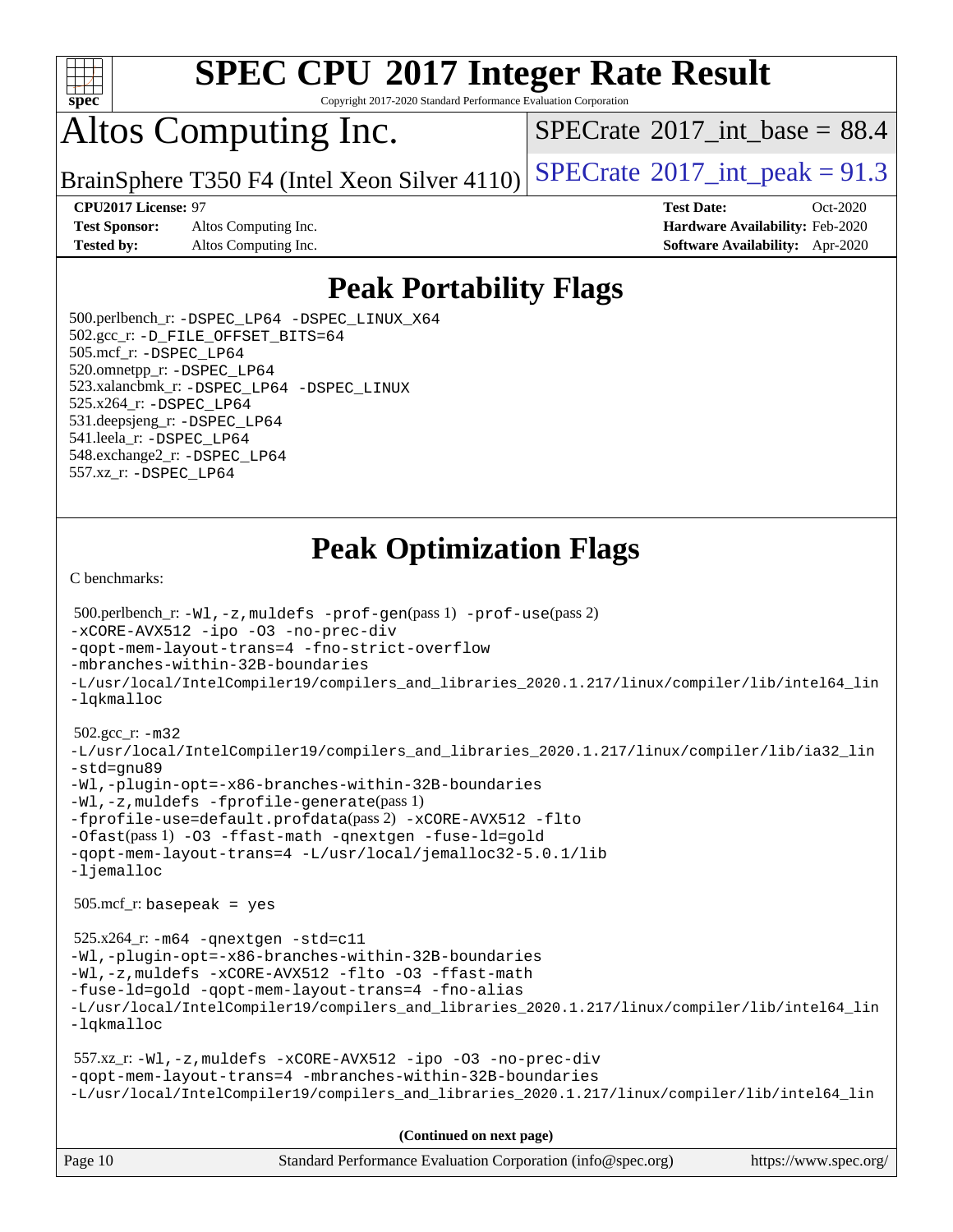

Copyright 2017-2020 Standard Performance Evaluation Corporation

# Altos Computing Inc.

[SPECrate](http://www.spec.org/auto/cpu2017/Docs/result-fields.html#SPECrate2017intbase)<sup>®</sup>2017 int\_base =  $88.4$ 

BrainSphere T350 F4 (Intel Xeon Silver  $4110$ ) [SPECrate](http://www.spec.org/auto/cpu2017/Docs/result-fields.html#SPECrate2017intpeak)®[2017\\_int\\_peak =](http://www.spec.org/auto/cpu2017/Docs/result-fields.html#SPECrate2017intpeak) 91.3

**[Test Sponsor:](http://www.spec.org/auto/cpu2017/Docs/result-fields.html#TestSponsor)** Altos Computing Inc. **[Hardware Availability:](http://www.spec.org/auto/cpu2017/Docs/result-fields.html#HardwareAvailability)** Feb-2020 **[Tested by:](http://www.spec.org/auto/cpu2017/Docs/result-fields.html#Testedby)** Altos Computing Inc. **[Software Availability:](http://www.spec.org/auto/cpu2017/Docs/result-fields.html#SoftwareAvailability)** Apr-2020

**[CPU2017 License:](http://www.spec.org/auto/cpu2017/Docs/result-fields.html#CPU2017License)** 97 **[Test Date:](http://www.spec.org/auto/cpu2017/Docs/result-fields.html#TestDate)** Oct-2020

## **[Peak Portability Flags](http://www.spec.org/auto/cpu2017/Docs/result-fields.html#PeakPortabilityFlags)**

 500.perlbench\_r: [-DSPEC\\_LP64](http://www.spec.org/cpu2017/results/res2020q4/cpu2017-20201015-24218.flags.html#b500.perlbench_r_peakPORTABILITY_DSPEC_LP64) [-DSPEC\\_LINUX\\_X64](http://www.spec.org/cpu2017/results/res2020q4/cpu2017-20201015-24218.flags.html#b500.perlbench_r_peakCPORTABILITY_DSPEC_LINUX_X64) 502.gcc\_r: [-D\\_FILE\\_OFFSET\\_BITS=64](http://www.spec.org/cpu2017/results/res2020q4/cpu2017-20201015-24218.flags.html#user_peakPORTABILITY502_gcc_r_file_offset_bits_64_5ae949a99b284ddf4e95728d47cb0843d81b2eb0e18bdfe74bbf0f61d0b064f4bda2f10ea5eb90e1dcab0e84dbc592acfc5018bc955c18609f94ddb8d550002c) 505.mcf\_r: [-DSPEC\\_LP64](http://www.spec.org/cpu2017/results/res2020q4/cpu2017-20201015-24218.flags.html#suite_peakPORTABILITY505_mcf_r_DSPEC_LP64) 520.omnetpp\_r: [-DSPEC\\_LP64](http://www.spec.org/cpu2017/results/res2020q4/cpu2017-20201015-24218.flags.html#suite_peakPORTABILITY520_omnetpp_r_DSPEC_LP64) 523.xalancbmk\_r: [-DSPEC\\_LP64](http://www.spec.org/cpu2017/results/res2020q4/cpu2017-20201015-24218.flags.html#suite_peakPORTABILITY523_xalancbmk_r_DSPEC_LP64) [-DSPEC\\_LINUX](http://www.spec.org/cpu2017/results/res2020q4/cpu2017-20201015-24218.flags.html#b523.xalancbmk_r_peakCXXPORTABILITY_DSPEC_LINUX) 525.x264\_r: [-DSPEC\\_LP64](http://www.spec.org/cpu2017/results/res2020q4/cpu2017-20201015-24218.flags.html#suite_peakPORTABILITY525_x264_r_DSPEC_LP64) 531.deepsjeng\_r: [-DSPEC\\_LP64](http://www.spec.org/cpu2017/results/res2020q4/cpu2017-20201015-24218.flags.html#suite_peakPORTABILITY531_deepsjeng_r_DSPEC_LP64) 541.leela\_r: [-DSPEC\\_LP64](http://www.spec.org/cpu2017/results/res2020q4/cpu2017-20201015-24218.flags.html#suite_peakPORTABILITY541_leela_r_DSPEC_LP64) 548.exchange2\_r: [-DSPEC\\_LP64](http://www.spec.org/cpu2017/results/res2020q4/cpu2017-20201015-24218.flags.html#suite_peakPORTABILITY548_exchange2_r_DSPEC_LP64) 557.xz\_r: [-DSPEC\\_LP64](http://www.spec.org/cpu2017/results/res2020q4/cpu2017-20201015-24218.flags.html#suite_peakPORTABILITY557_xz_r_DSPEC_LP64)

## **[Peak Optimization Flags](http://www.spec.org/auto/cpu2017/Docs/result-fields.html#PeakOptimizationFlags)**

[C benchmarks](http://www.spec.org/auto/cpu2017/Docs/result-fields.html#Cbenchmarks):

```
Page 10 Standard Performance Evaluation Corporation (info@spec.org) https://www.spec.org/
  500.perlbench_r: -Wl,-z,muldefs -prof-gen(pass 1) -prof-use(pass 2)
-xCORE-AVX512 -ipo -O3 -no-prec-div
-qopt-mem-layout-trans=4 -fno-strict-overflow
-mbranches-within-32B-boundaries
-L/usr/local/IntelCompiler19/compilers_and_libraries_2020.1.217/linux/compiler/lib/intel64_lin
-lqkmalloc
  502.gcc_r: -m32
-L/usr/local/IntelCompiler19/compilers_and_libraries_2020.1.217/linux/compiler/lib/ia32_lin
-std=gnu89
-Wl,-plugin-opt=-x86-branches-within-32B-boundaries
-Wl,-z,muldefs -fprofile-generate(pass 1)
-fprofile-use=default.profdata(pass 2) -xCORE-AVX512 -flto
-Ofast(pass 1) -O3 -ffast-math -qnextgen -fuse-ld=gold
-qopt-mem-layout-trans=4 -L/usr/local/jemalloc32-5.0.1/lib
-ljemalloc
  505.mcf_r: basepeak = yes
  525.x264_r: -m64 -qnextgen -std=c11
-Wl,-plugin-opt=-x86-branches-within-32B-boundaries
-Wl,-z,muldefs -xCORE-AVX512 -flto -O3 -ffast-math
-fuse-ld=gold -qopt-mem-layout-trans=4 -fno-alias
-L/usr/local/IntelCompiler19/compilers_and_libraries_2020.1.217/linux/compiler/lib/intel64_lin
-lqkmalloc
  557.xz_r: -Wl,-z,muldefs -xCORE-AVX512 -ipo -O3 -no-prec-div
-qopt-mem-layout-trans=4 -mbranches-within-32B-boundaries
-L/usr/local/IntelCompiler19/compilers_and_libraries_2020.1.217/linux/compiler/lib/intel64_lin
                                      (Continued on next page)
```